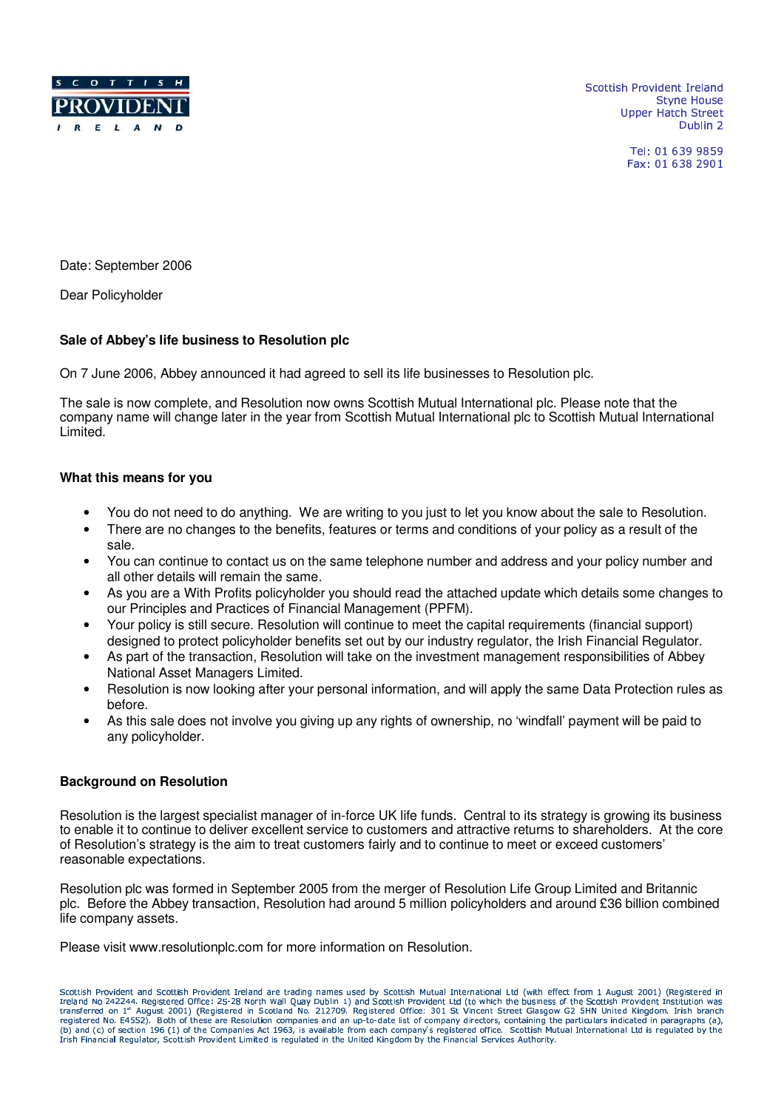

-  ! "\$# %Upper Hatch Street - #.\$ 0/

> Tel: 01 639 9859 Fax: 01 638 2901

Date: September 2006

Dear Policyholder

# **Sale of Abbey's life business to Resolution plc**

On 7 June 2006, Abbey announced it had agreed to sell its life businesses to Resolution plc.

The sale is now complete, and Resolution now owns Scottish Mutual International plc. Please note that the company name will change later in the year from Scottish Mutual International plc to Scottish Mutual International Limited.

# **What this means for you**

- You do not need to do anything. We are writing to you just to let you know about the sale to Resolution.
- There are no changes to the benefits, features or terms and conditions of your policy as a result of the sale.
- You can continue to contact us on the same telephone number and address and your policy number and all other details will remain the same.
- As you are a With Profits policyholder you should read the attached update which details some changes to our Principles and Practices of Financial Management (PPFM).
- Your policy is still secure. Resolution will continue to meet the capital requirements (financial support) designed to protect policyholder benefits set out by our industry regulator, the Irish Financial Regulator.
- As part of the transaction, Resolution will take on the investment management responsibilities of Abbey National Asset Managers Limited.
- Resolution is now looking after your personal information, and will apply the same Data Protection rules as before.
- As this sale does not involve you giving up any rights of ownership, no 'windfall' payment will be paid to any policyholder.

# **Background on Resolution**

Resolution is the largest specialist manager of in-force UK life funds. Central to its strategy is growing its business to enable it to continue to deliver excellent service to customers and attractive returns to shareholders. At the core of Resolution's strategy is the aim to treat customers fairly and to continue to meet or exceed customers' reasonable expectations.

Resolution plc was formed in September 2005 from the merger of Resolution Life Group Limited and Britannic plc. Before the Abbey transaction, Resolution had around 5 million policyholders and around £36 billion combined life company assets.

Please visit www.resolutionplc.com for more information on Resolution.

Coottish Desvident and Coottish Desvident Tealand are trading names word by Coottish Mutual International Ltd (with offert from 1 Award 2001) (Desistance) in Scottish Provident and Scottish Provident Ireland are trading names used by Scottish Mutual International Ltd (With effect from 1 August 2001) (Registered in<br>Ireland No 242244. Registered Office: 25-28 North Wall Quay Dubl ITANSIETEG ON 1^ AUGUST ZUU1) (KEGIStEFG IN SCOLANG NO. ZIZZUY, KEGIStEFEG UTIGE) SI VINCENT STEET GIASOW GZ SHN UNIEG KINGOOM. IIISN DTANGA<br>registered No. E4552). Both of these are Resolution companies and an up-to-date l . . . JA A SKALDA US TALATA UST AT CAMBANY A PACTAPOL CARTO BU registered No. E4552). Both of these are Resolution companies and an up-to-date list of company directors, containing the particulars indicated in paragraphs (a),<br>(b) and (c) of section 196 (1) of the Companies Act 1963, i Trish Financial Regulator, Scottish Provident Limited is regulated in the United Kingdom by the Financial Services Authority.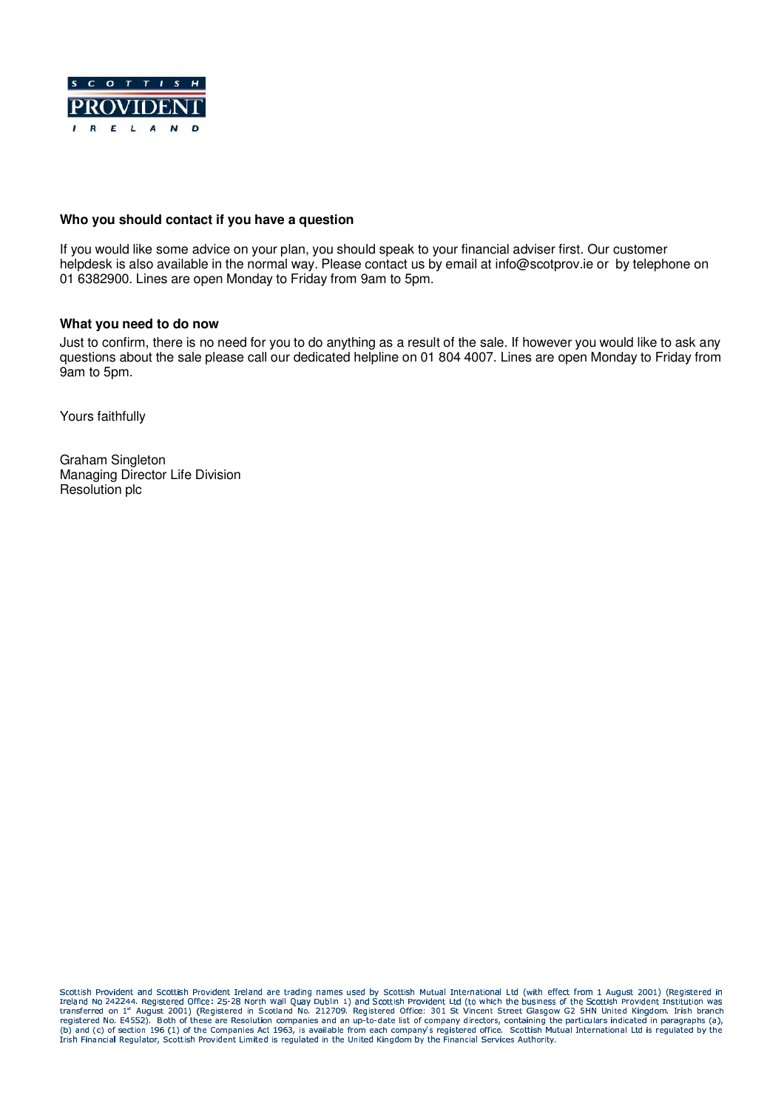

# **Who you should contact if you have a question**

If you would like some advice on your plan, you should speak to your financial adviser first. Our customer helpdesk is also available in the normal way. Please contact us by email at info@scotprov.ie or by telephone on 01 6382900. Lines are open Monday to Friday from 9am to 5pm.

### **What you need to do now**

Just to confirm, there is no need for you to do anything as a result of the sale. If however you would like to ask any questions about the sale please call our dedicated helpline on 01 804 4007. Lines are open Monday to Friday from 9am to 5pm.

Yours faithfully

Graham Singleton Managing Director Life Division Resolution plc

Coottish Desvident and Coottish Desvident Tealand are trading names word by Coottish Mutual International Ltd (with offert from 1 Award 2001) (Desistance) in Scottish Provident and Scottish Provident Ireland are trading names used by Scottish Mutual International Ltd (With effect from 1 August 2001) (Registered in<br>Ireland No 242244. Registered Office: 25-28 North Wall Quay Dubl ITANSIETEG ON 1^ AUGUST ZUU1) (KEGIStEFG IN SCOLANG NO. ZIZZUY, KEGIStEFEG UTIGE) SI VINCENT STEET GIASOW GZ SHN UNIEG KINGOOM. IIISN DTANGA<br>registered No. E4552). Both of these are Resolution companies and an up-to-date l . . . JA A SKALDA US TALATA UST AT CAMBANY A PACTAPOL CARTO BU registered No. E4552). Both of these are Resolution companies and an up-to-date list of company directors, containing the particulars indicated in paragraphs (a),<br>(b) and (c) of section 196 (1) of the Companies Act 1963, i